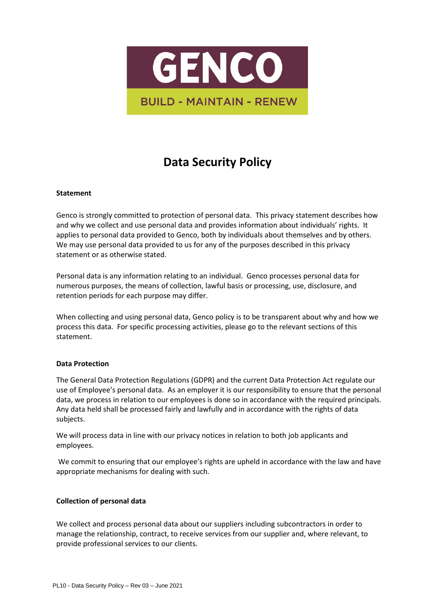

# **Data Security Policy**

# **Statement**

Genco is strongly committed to protection of personal data. This privacy statement describes how and why we collect and use personal data and provides information about individuals' rights. It applies to personal data provided to Genco, both by individuals about themselves and by others. We may use personal data provided to us for any of the purposes described in this privacy statement or as otherwise stated.

Personal data is any information relating to an individual. Genco processes personal data for numerous purposes, the means of collection, lawful basis or processing, use, disclosure, and retention periods for each purpose may differ.

When collecting and using personal data, Genco policy is to be transparent about why and how we process this data. For specific processing activities, please go to the relevant sections of this statement.

# **Data Protection**

The General Data Protection Regulations (GDPR) and the current Data Protection Act regulate our use of Employee's personal data. As an employer it is our responsibility to ensure that the personal data, we process in relation to our employees is done so in accordance with the required principals. Any data held shall be processed fairly and lawfully and in accordance with the rights of data subjects.

We will process data in line with our privacy notices in relation to both job applicants and employees.

We commit to ensuring that our employee's rights are upheld in accordance with the law and have appropriate mechanisms for dealing with such.

# **Collection of personal data**

We collect and process personal data about our suppliers including subcontractors in order to manage the relationship, contract, to receive services from our supplier and, where relevant, to provide professional services to our clients.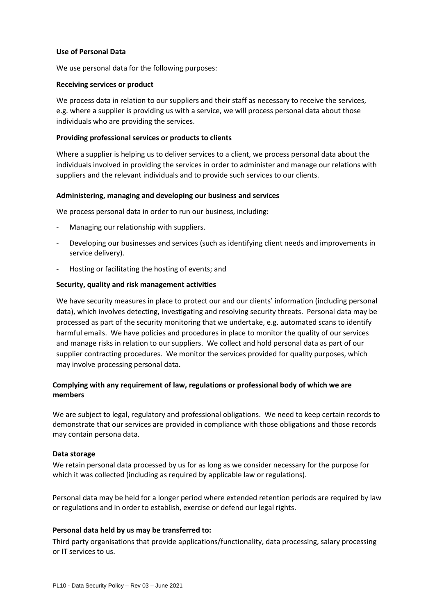## **Use of Personal Data**

We use personal data for the following purposes:

## **Receiving services or product**

We process data in relation to our suppliers and their staff as necessary to receive the services, e.g. where a supplier is providing us with a service, we will process personal data about those individuals who are providing the services.

## **Providing professional services or products to clients**

Where a supplier is helping us to deliver services to a client, we process personal data about the individuals involved in providing the services in order to administer and manage our relations with suppliers and the relevant individuals and to provide such services to our clients.

## **Administering, managing and developing our business and services**

We process personal data in order to run our business, including:

- Managing our relationship with suppliers.
- Developing our businesses and services (such as identifying client needs and improvements in service delivery).
- Hosting or facilitating the hosting of events; and

## **Security, quality and risk management activities**

We have security measures in place to protect our and our clients' information (including personal data), which involves detecting, investigating and resolving security threats. Personal data may be processed as part of the security monitoring that we undertake, e.g. automated scans to identify harmful emails. We have policies and procedures in place to monitor the quality of our services and manage risks in relation to our suppliers. We collect and hold personal data as part of our supplier contracting procedures. We monitor the services provided for quality purposes, which may involve processing personal data.

# **Complying with any requirement of law, regulations or professional body of which we are members**

We are subject to legal, regulatory and professional obligations. We need to keep certain records to demonstrate that our services are provided in compliance with those obligations and those records may contain persona data.

#### **Data storage**

We retain personal data processed by us for as long as we consider necessary for the purpose for which it was collected (including as required by applicable law or regulations).

Personal data may be held for a longer period where extended retention periods are required by law or regulations and in order to establish, exercise or defend our legal rights.

# **Personal data held by us may be transferred to:**

Third party organisations that provide applications/functionality, data processing, salary processing or IT services to us.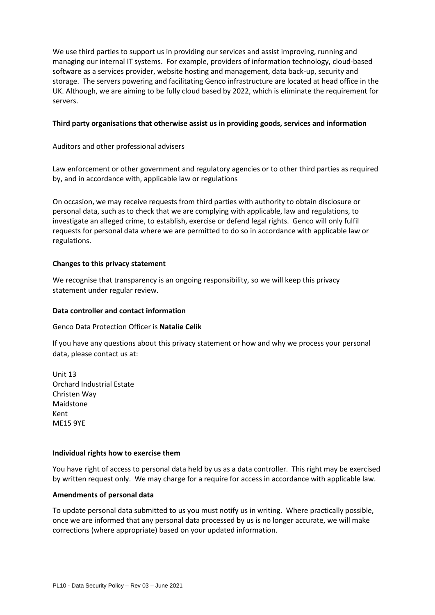We use third parties to support us in providing our services and assist improving, running and managing our internal IT systems. For example, providers of information technology, cloud-based software as a services provider, website hosting and management, data back-up, security and storage. The servers powering and facilitating Genco infrastructure are located at head office in the UK. Although, we are aiming to be fully cloud based by 2022, which is eliminate the requirement for servers.

## **Third party organisations that otherwise assist us in providing goods, services and information**

Auditors and other professional advisers

Law enforcement or other government and regulatory agencies or to other third parties as required by, and in accordance with, applicable law or regulations

On occasion, we may receive requests from third parties with authority to obtain disclosure or personal data, such as to check that we are complying with applicable, law and regulations, to investigate an alleged crime, to establish, exercise or defend legal rights. Genco will only fulfil requests for personal data where we are permitted to do so in accordance with applicable law or regulations.

# **Changes to this privacy statement**

We recognise that transparency is an ongoing responsibility, so we will keep this privacy statement under regular review.

# **Data controller and contact information**

Genco Data Protection Officer is **Natalie Celik**

If you have any questions about this privacy statement or how and why we process your personal data, please contact us at:

Unit 13 Orchard Industrial Estate Christen Way Maidstone Kent ME15 9YE

# **Individual rights how to exercise them**

You have right of access to personal data held by us as a data controller. This right may be exercised by written request only. We may charge for a require for access in accordance with applicable law.

# **Amendments of personal data**

To update personal data submitted to us you must notify us in writing. Where practically possible, once we are informed that any personal data processed by us is no longer accurate, we will make corrections (where appropriate) based on your updated information.